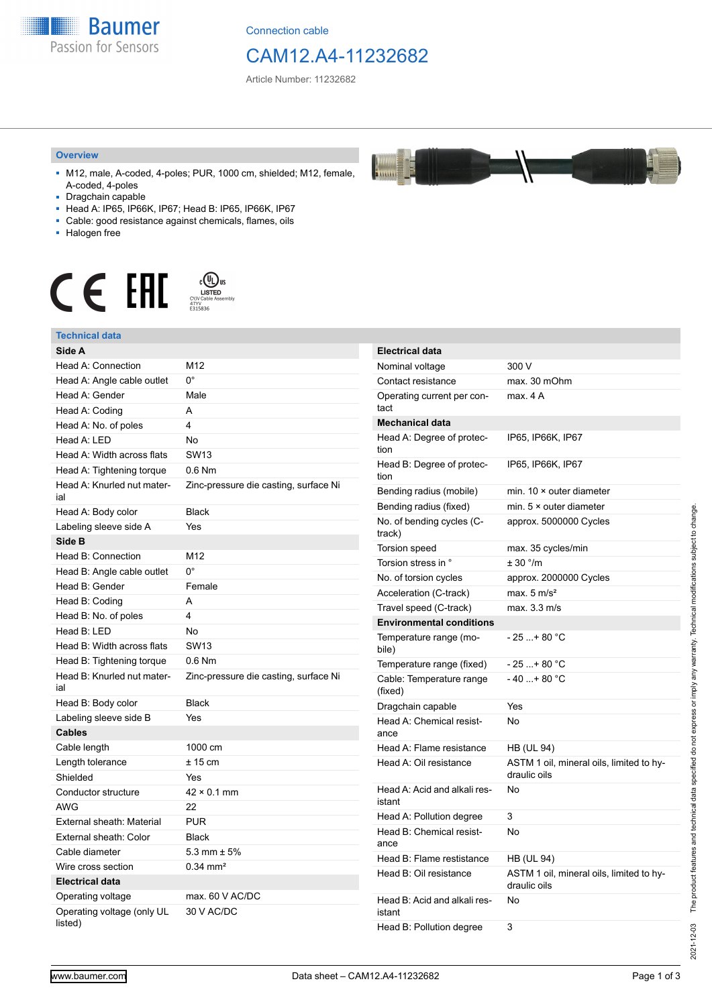

Connection cable

## CAM12.A4-11232682

F

Article Number: 11232682

#### **Overview**

- M12, male, A-coded, 4-poles; PUR, 1000 cm, shielded; M12, female, A-coded, 4-poles
- Dragchain capable
- Head A: IP65, IP66K, IP67; Head B: IP65, IP66K, IP67
- Cable: good resistance against chemicals, flames, oils
- Halogen free



#### **Technical data**

| Technical data                        |                                       |
|---------------------------------------|---------------------------------------|
| Side A                                |                                       |
| <b>Head A: Connection</b>             | M12                                   |
| Head A: Angle cable outlet            | 0°                                    |
| Head A: Gender                        | Male                                  |
| Head A: Coding                        | A                                     |
| Head A: No. of poles                  | 4                                     |
| Head A: LED                           | No                                    |
| Head A: Width across flats            | <b>SW13</b>                           |
| Head A: Tightening torque             | $0.6$ Nm                              |
| Head A: Knurled nut mater-<br>ial     | Zinc-pressure die casting, surface Ni |
| Head A: Body color                    | <b>Black</b>                          |
| Labeling sleeve side A                | Yes                                   |
| Side B                                |                                       |
| Head B: Connection                    | M12                                   |
| Head B: Angle cable outlet            | $0^{\circ}$                           |
| Head B: Gender                        | Female                                |
| Head B: Coding                        | A                                     |
| Head B: No. of poles                  | 4                                     |
| Head B: LED                           | No                                    |
| Head B: Width across flats            | <b>SW13</b>                           |
| Head B: Tightening torque             | $0.6$ Nm                              |
| Head B: Knurled nut mater-<br>ial     | Zinc-pressure die casting, surface Ni |
| Head B: Body color                    | <b>Black</b>                          |
| Labeling sleeve side B                | Yes                                   |
| <b>Cables</b>                         |                                       |
| Cable length                          | 1000 cm                               |
| Length tolerance                      | $± 15$ cm                             |
| Shielded                              | Yes                                   |
| Conductor structure                   | $42 \times 0.1$ mm                    |
| <b>AWG</b>                            | 22                                    |
| External sheath: Material             | <b>PUR</b>                            |
| External sheath: Color                | <b>Black</b>                          |
| Cable diameter                        | 5.3 mm $\pm$ 5%                       |
| Wire cross section                    | $0.34$ mm <sup>2</sup>                |
| <b>Electrical data</b>                |                                       |
| Operating voltage                     | max. 60 V AC/DC                       |
| Operating voltage (only UL<br>listed) | 30 V AC/DC                            |

| <b>Electrical data</b>                 |                                                          |
|----------------------------------------|----------------------------------------------------------|
| Nominal voltage                        | 300 V                                                    |
| Contact resistance                     | max. 30 mOhm                                             |
| Operating current per con-<br>tact     | max. 4 A                                                 |
| <b>Mechanical data</b>                 |                                                          |
| Head A: Degree of protec-<br>tion      | IP65, IP66K, IP67                                        |
| Head B: Degree of protec-<br>tion      | IP65, IP66K, IP67                                        |
| Bending radius (mobile)                | min. $10 \times$ outer diameter                          |
| Bending radius (fixed)                 | min. $5 \times$ outer diameter                           |
| No. of bending cycles (C-<br>track)    | approx. 5000000 Cycles                                   |
| <b>Torsion speed</b>                   | max. 35 cycles/min                                       |
| Torsion stress in °                    | ± 30 °/m                                                 |
| No. of torsion cycles                  | approx. 2000000 Cycles                                   |
| Acceleration (C-track)                 | max. $5 \text{ m/s}^2$                                   |
| Travel speed (C-track)                 | max. 3.3 m/s                                             |
| <b>Environmental conditions</b>        |                                                          |
| Temperature range (mo-<br>bile)        | - 25 + 80 °C                                             |
| Temperature range (fixed)              | - 25 + 80 °C                                             |
| Cable: Temperature range<br>(fixed)    | - 40 + 80 °C                                             |
| Dragchain capable                      | Yes                                                      |
| Head A: Chemical resist-<br>ance       | No                                                       |
| Head A: Flame resistance               | HB (UL 94)                                               |
| Head A: Oil resistance                 | ASTM 1 oil, mineral oils, limited to hy-<br>draulic oils |
| Head A: Acid and alkali res-<br>istant | No                                                       |
| Head A: Pollution degree               | 3                                                        |
| Head B: Chemical resist-<br>ance       | No                                                       |
| Head B: Flame restistance              | HB (UL 94)                                               |
| Head B: Oil resistance                 | ASTM 1 oil, mineral oils, limited to hy-<br>draulic oils |
| Head B: Acid and alkali res-<br>istant | No                                                       |
| Head B: Pollution degree               | 3                                                        |

2021-12-03

2021-12-03 The product features and technical data specified do not express or imply any warranty. Technical modifications subject to change.

The product features and technical data specified do not express or imply any warranty. Technical modifications subject to change.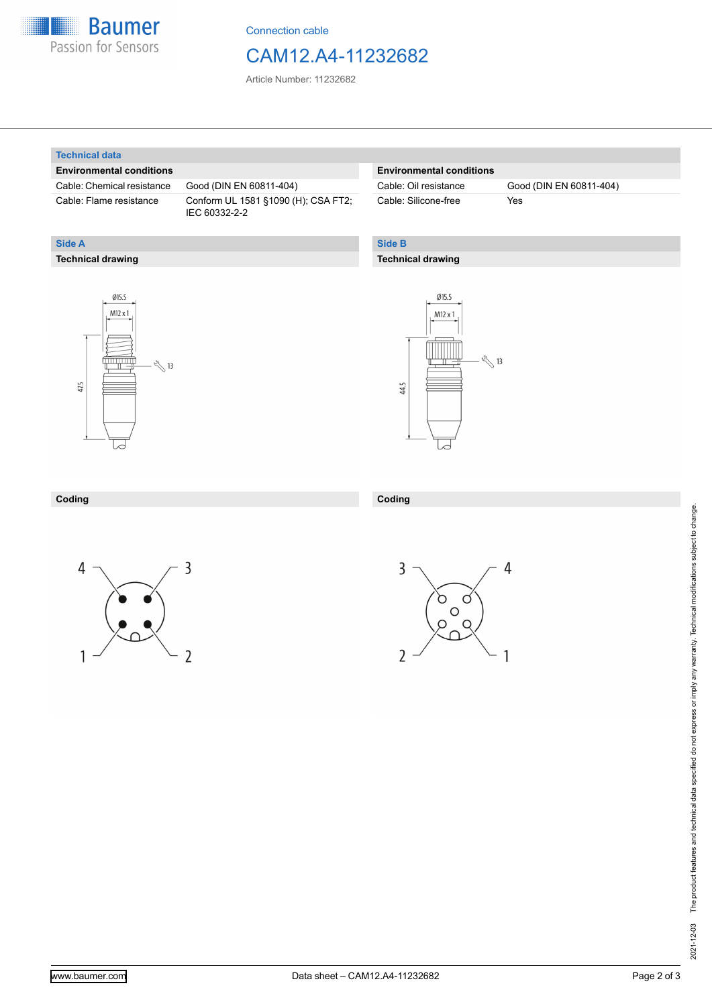

Connection cable

### CAM12.A4-11232682

Article Number: 11232682

#### **Technical data**

**Technical drawing**

**Side A**

#### **Environmental conditions**

Cable: Chemical resistance Good (DIN EN 60811-404)

Cable: Flame resistance Conform UL 1581 §1090 (H); CSA FT2; IEC 60332-2-2

#### **Environmental conditions**

Cable: Silicone-free Yes

Cable: Oil resistance Good (DIN EN 60811-404)

### **Side B**

#### **Technical drawing**





| Coding | Coding |
|--------|--------|
|        |        |